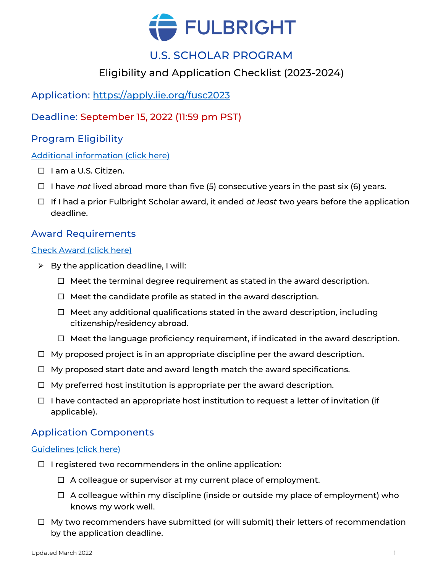

# U.S. SCHOLAR PROGRAM

## Eligibility and Application Checklist (2023-2024)

## Application:<https://apply.iie.org/fusc2023>

## Deadline: September 15, 2022 (11:59 pm PST)

## Program Eligibility

#### [Additional information \(click here\)](https://cies.org/us-scholar-awards#eligibility)

- □ I am a U.S. Citizen.
- I have *not* lived abroad more than five (5) consecutive years in the past six (6) years.
- If I had a prior Fulbright Scholar award, it ended *at least* two years before the application deadline.

### Award Requirements

#### [Check Award \(click here\)](https://awards.cies.org/)

- $\triangleright$  By the application deadline, I will:
	- $\Box$  Meet the terminal degree requirement as stated in the award description.
	- $\Box$  Meet the candidate profile as stated in the award description.
	- $\Box$  Meet any additional qualifications stated in the award description, including citizenship/residency abroad.
	- $\Box$  Meet the language proficiency requirement, if indicated in the award description.
- $\Box$  My proposed project is in an appropriate discipline per the award description.
- $\Box$  My proposed start date and award length match the award specifications.
- $\Box$  My preferred host institution is appropriate per the award description.
- $\Box$  I have contacted an appropriate host institution to request a letter of invitation (if applicable).

### Application Components

#### [Guidelines \(click here\)](https://cies.org/us-scholar-awards#application)

- $\Box$  I registered two recommenders in the online application:
	- $\Box$  A colleague or supervisor at my current place of employment.
	- $\Box$  A colleague within my discipline (inside or outside my place of employment) who knows my work well.
- $\Box$  My two recommenders have submitted (or will submit) their letters of recommendation by the application deadline.